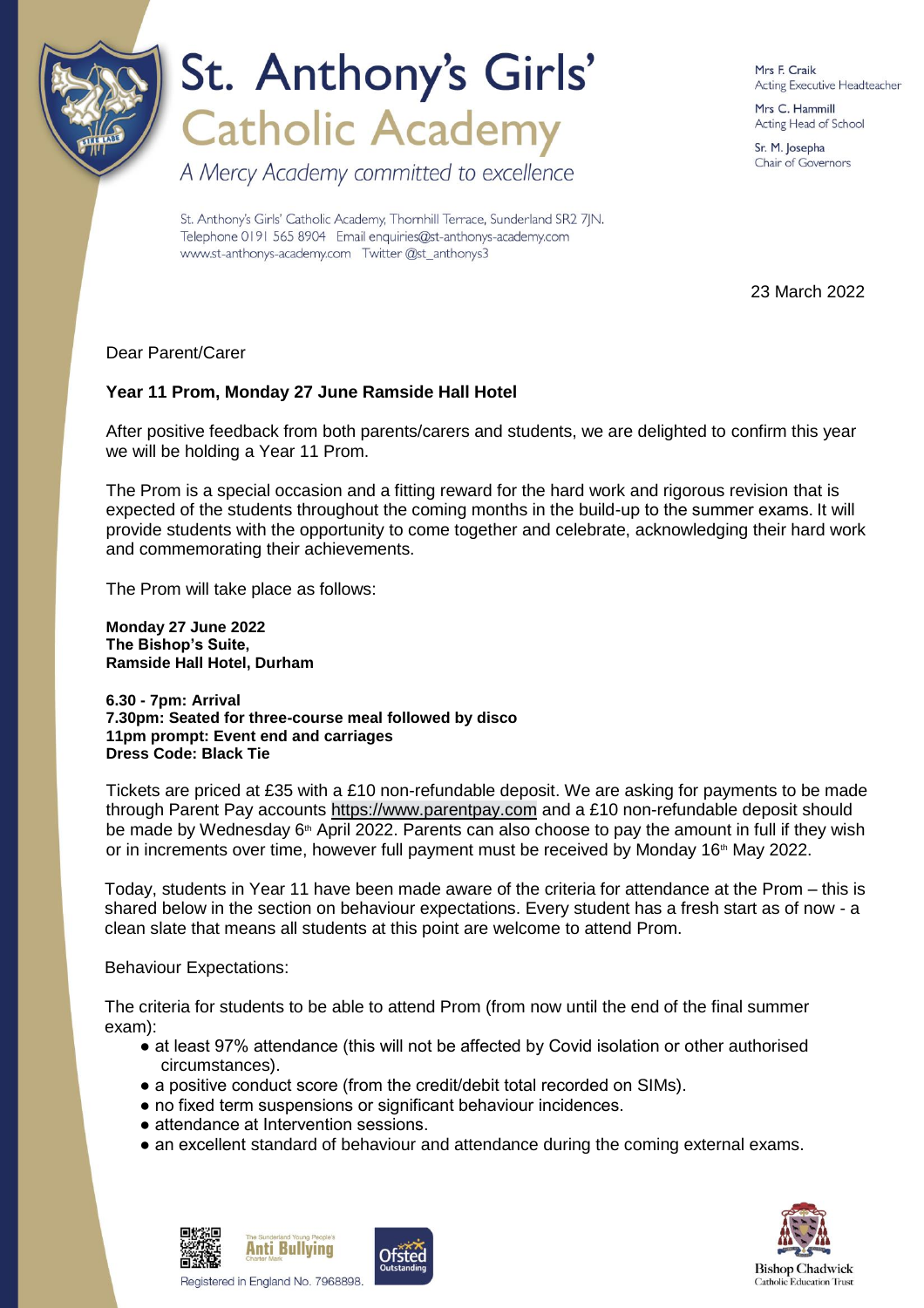

# St. Anthony's Girls' **Catholic Academy**

A Mercy Academy committed to excellence

Mrs F. Craik Acting Executive Headteacher

Mrs C. Hammill Acting Head of School

Sr. M. Josepha Chair of Governors

St. Anthony's Girls' Catholic Academy, Thornhill Terrace, Sunderland SR2 7JN. Telephone 0191 565 8904 Email enquiries@st-anthonys-academy.com www.st-anthonys-academy.com Twitter @st anthonys3

23 March 2022

## Dear Parent/Carer

## **Year 11 Prom, Monday 27 June Ramside Hall Hotel**

After positive feedback from both parents/carers and students, we are delighted to confirm this year we will be holding a Year 11 Prom.

The Prom is a special occasion and a fitting reward for the hard work and rigorous revision that is expected of the students throughout the coming months in the build-up to the summer exams. It will provide students with the opportunity to come together and celebrate, acknowledging their hard work and commemorating their achievements.

The Prom will take place as follows:

**Monday 27 June 2022 The Bishop's Suite, Ramside Hall Hotel, Durham**

**6.30 - 7pm: Arrival 7.30pm: Seated for three-course meal followed by disco 11pm prompt: Event end and carriages Dress Code: Black Tie**

Tickets are priced at £35 with a £10 non-refundable deposit. We are asking for payments to be made through Parent Pay accounts [https://www.parentpay.com](https://www.parentpay.com/) and a £10 non-refundable deposit should be made by Wednesday 6<sup>th</sup> April 2022. Parents can also choose to pay the amount in full if they wish or in increments over time, however full payment must be received by Monday 16<sup>th</sup> May 2022.

Today, students in Year 11 have been made aware of the criteria for attendance at the Prom – this is shared below in the section on behaviour expectations. Every student has a fresh start as of now - a clean slate that means all students at this point are welcome to attend Prom.

#### Behaviour Expectations:

The criteria for students to be able to attend Prom (from now until the end of the final summer exam):

- at least 97% attendance (this will not be affected by Covid isolation or other authorised circumstances).
- a positive conduct score (from the credit/debit total recorded on SIMs).
- no fixed term suspensions or significant behaviour incidences.
- attendance at Intervention sessions.
- an excellent standard of behaviour and attendance during the coming external exams.